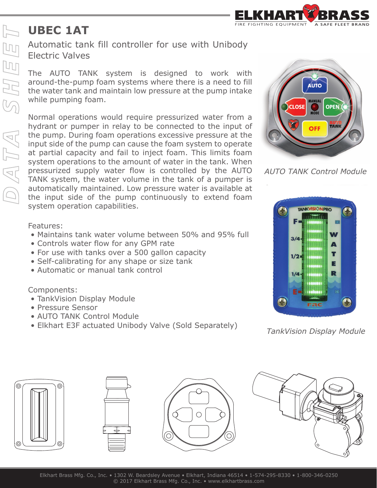

## **UBEC 1AT**

Automatic tank fill controller for use with Unibody Electric Valves

The AUTO TANK system is designed to work with around-the-pump foam systems where there is a need to fill the water tank and maintain low pressure at the pump intake while pumping foam.

Normal operations would require pressurized water from a hydrant or pumper in relay to be connected to the input of the pump. During foam operations excessive pressure at the input side of the pump can cause the foam system to operate at partial capacity and fail to inject foam. This limits foam system operations to the amount of water in the tank. When pressurized supply water flow is controlled by the AUTO TANK system, the water volume in the tank of a pumper is automatically maintained. Low pressure water is available at the input side of the pump continuously to extend foam system operation capabilities.



*AUTO TANK Control Module*



*TankVision Display Module*









Features:

- Maintains tank water volume between 50% and 95% full
- Controls water flow for any GPM rate
- For use with tanks over a 500 gallon capacity
- Self-calibrating for any shape or size tank
- Automatic or manual tank control

Components:

- TankVision Display Module
- Pressure Sensor
- AUTO TANK Control Module
- Elkhart E3F actuated Unibody Valve (Sold Separately)